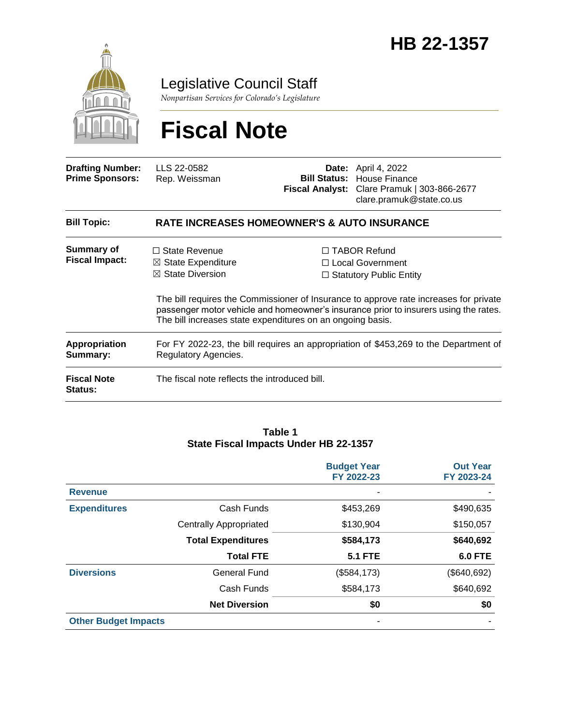

Legislative Council Staff

*Nonpartisan Services for Colorado's Legislature*

# **Fiscal Note**

| <b>Drafting Number:</b><br><b>Prime Sponsors:</b> | LLS 22-0582<br>Rep. Weissman                                                                                                                                                                                                                | <b>Bill Status:</b> | <b>Date:</b> April 4, 2022<br>House Finance<br>Fiscal Analyst: Clare Pramuk   303-866-2677<br>clare.pramuk@state.co.us |  |  |
|---------------------------------------------------|---------------------------------------------------------------------------------------------------------------------------------------------------------------------------------------------------------------------------------------------|---------------------|------------------------------------------------------------------------------------------------------------------------|--|--|
| <b>Bill Topic:</b>                                | <b>RATE INCREASES HOMEOWNER'S &amp; AUTO INSURANCE</b>                                                                                                                                                                                      |                     |                                                                                                                        |  |  |
| <b>Summary of</b><br><b>Fiscal Impact:</b>        | $\Box$ State Revenue<br>$\boxtimes$ State Expenditure<br>$\boxtimes$ State Diversion                                                                                                                                                        |                     | $\Box$ TABOR Refund<br>$\Box$ Local Government<br>$\Box$ Statutory Public Entity                                       |  |  |
|                                                   | The bill requires the Commissioner of Insurance to approve rate increases for private<br>passenger motor vehicle and homeowner's insurance prior to insurers using the rates.<br>The bill increases state expenditures on an ongoing basis. |                     |                                                                                                                        |  |  |
| Appropriation                                     | For FY 2022-23, the bill requires an appropriation of \$453,269 to the Department of                                                                                                                                                        |                     |                                                                                                                        |  |  |

**Summary:** Regulatory Agencies. **Fiscal Note Status:** The fiscal note reflects the introduced bill.

#### **Table 1 State Fiscal Impacts Under HB 22-1357**

|                             |                               | <b>Budget Year</b><br>FY 2022-23 | <b>Out Year</b><br>FY 2023-24 |
|-----------------------------|-------------------------------|----------------------------------|-------------------------------|
| <b>Revenue</b>              |                               |                                  |                               |
| <b>Expenditures</b>         | Cash Funds                    | \$453,269                        | \$490,635                     |
|                             | <b>Centrally Appropriated</b> | \$130,904                        | \$150,057                     |
|                             | <b>Total Expenditures</b>     | \$584,173                        | \$640,692                     |
|                             | <b>Total FTE</b>              | <b>5.1 FTE</b>                   | <b>6.0 FTE</b>                |
| <b>Diversions</b>           | <b>General Fund</b>           | (\$584, 173)                     | (\$640,692)                   |
|                             | Cash Funds                    | \$584,173                        | \$640,692                     |
|                             | <b>Net Diversion</b>          | \$0                              | \$0                           |
| <b>Other Budget Impacts</b> |                               | ٠                                |                               |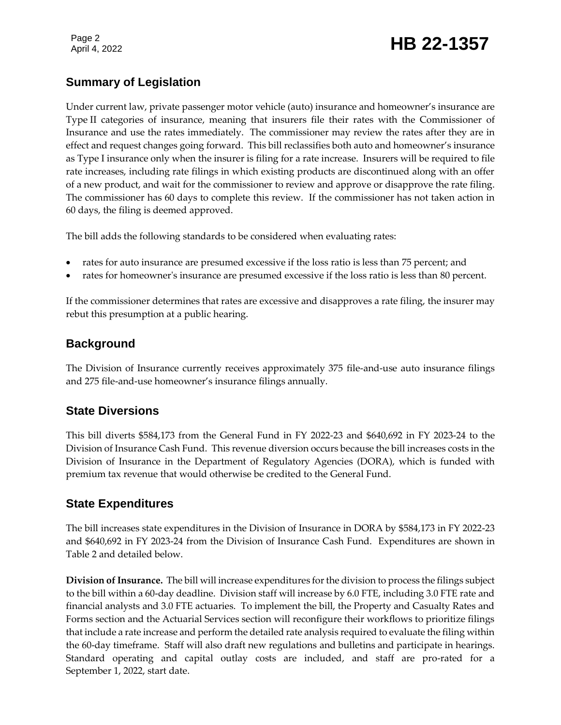# Page 2<br>April 4, 2022 **HB** 22-1357

### **Summary of Legislation**

Under current law, private passenger motor vehicle (auto) insurance and homeowner's insurance are Type II categories of insurance, meaning that insurers file their rates with the Commissioner of Insurance and use the rates immediately. The commissioner may review the rates after they are in effect and request changes going forward. This bill reclassifies both auto and homeowner's insurance as Type I insurance only when the insurer is filing for a rate increase. Insurers will be required to file rate increases, including rate filings in which existing products are discontinued along with an offer of a new product, and wait for the commissioner to review and approve or disapprove the rate filing. The commissioner has 60 days to complete this review. If the commissioner has not taken action in 60 days, the filing is deemed approved.

The bill adds the following standards to be considered when evaluating rates:

- rates for auto insurance are presumed excessive if the loss ratio is less than 75 percent; and
- rates for homeowner's insurance are presumed excessive if the loss ratio is less than 80 percent.

If the commissioner determines that rates are excessive and disapproves a rate filing, the insurer may rebut this presumption at a public hearing.

#### **Background**

The Division of Insurance currently receives approximately 375 file-and-use auto insurance filings and 275 file-and-use homeowner's insurance filings annually.

### **State Diversions**

This bill diverts \$584,173 from the General Fund in FY 2022-23 and \$640,692 in FY 2023-24 to the Division of Insurance Cash Fund. This revenue diversion occurs because the bill increases costs in the Division of Insurance in the Department of Regulatory Agencies (DORA), which is funded with premium tax revenue that would otherwise be credited to the General Fund.

#### **State Expenditures**

The bill increases state expenditures in the Division of Insurance in DORA by \$584,173 in FY 2022-23 and \$640,692 in FY 2023-24 from the Division of Insurance Cash Fund. Expenditures are shown in Table 2 and detailed below.

**Division of Insurance.** The bill will increase expenditures for the division to process the filings subject to the bill within a 60-day deadline. Division staff will increase by 6.0 FTE, including 3.0 FTE rate and financial analysts and 3.0 FTE actuaries. To implement the bill, the Property and Casualty Rates and Forms section and the Actuarial Services section will reconfigure their workflows to prioritize filings that include a rate increase and perform the detailed rate analysis required to evaluate the filing within the 60-day timeframe. Staff will also draft new regulations and bulletins and participate in hearings. Standard operating and capital outlay costs are included, and staff are pro-rated for a September 1, 2022, start date.